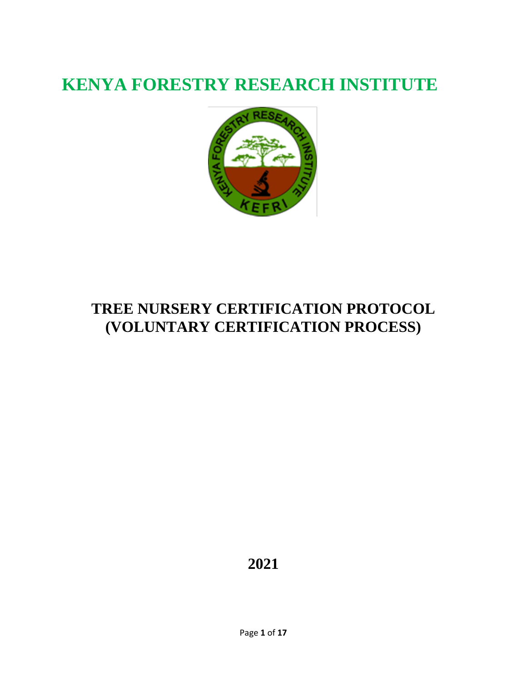# **KENYA FORESTRY RESEARCH INSTITUTE**



# **TREE NURSERY CERTIFICATION PROTOCOL (VOLUNTARY CERTIFICATION PROCESS)**

**2021**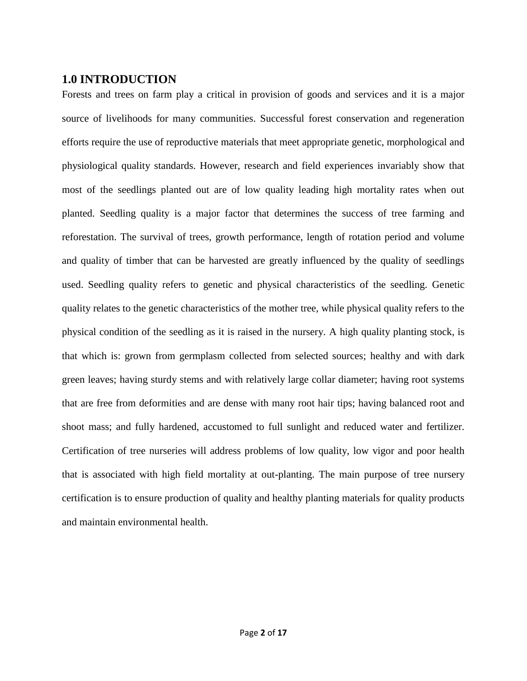#### **1.0 INTRODUCTION**

Forests and trees on farm play a critical in provision of goods and services and it is a major source of livelihoods for many communities. Successful forest conservation and regeneration efforts require the use of reproductive materials that meet appropriate genetic, morphological and physiological quality standards. However, research and field experiences invariably show that most of the seedlings planted out are of low quality leading high mortality rates when out planted. Seedling quality is a major factor that determines the success of tree farming and reforestation. The survival of trees, growth performance, length of rotation period and volume and quality of timber that can be harvested are greatly influenced by the quality of seedlings used. Seedling quality refers to genetic and physical characteristics of the seedling. Genetic quality relates to the genetic characteristics of the mother tree, while physical quality refers to the physical condition of the seedling as it is raised in the nursery. A high quality planting stock, is that which is: grown from germplasm collected from selected sources; healthy and with dark green leaves; having sturdy stems and with relatively large collar diameter; having root systems that are free from deformities and are dense with many root hair tips; having balanced root and shoot mass; and fully hardened, accustomed to full sunlight and reduced water and fertilizer. Certification of tree nurseries will address problems of low quality, low vigor and poor health that is associated with high field mortality at out-planting. The main purpose of tree nursery certification is to ensure production of quality and healthy planting materials for quality products and maintain environmental health.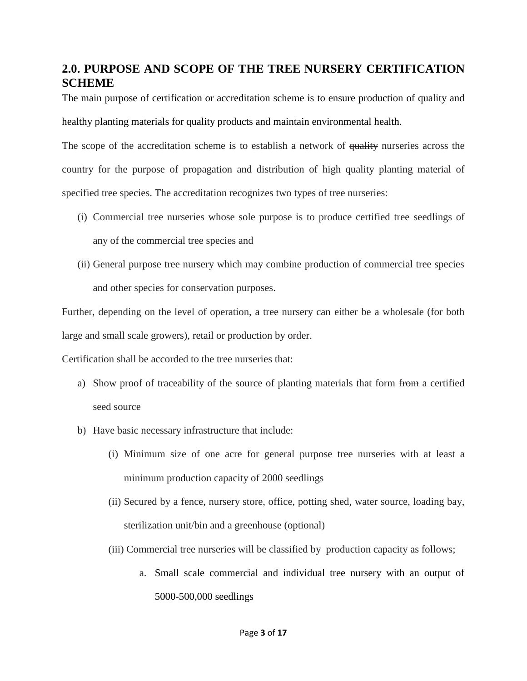## **2.0. PURPOSE AND SCOPE OF THE TREE NURSERY CERTIFICATION SCHEME**

The main purpose of certification or accreditation scheme is to ensure production of quality and healthy planting materials for quality products and maintain environmental health.

The scope of the accreditation scheme is to establish a network of quality nurseries across the country for the purpose of propagation and distribution of high quality planting material of specified tree species. The accreditation recognizes two types of tree nurseries:

- (i) Commercial tree nurseries whose sole purpose is to produce certified tree seedlings of any of the commercial tree species and
- (ii) General purpose tree nursery which may combine production of commercial tree species and other species for conservation purposes.

Further, depending on the level of operation, a tree nursery can either be a wholesale (for both large and small scale growers), retail or production by order.

Certification shall be accorded to the tree nurseries that:

- a) Show proof of traceability of the source of planting materials that form from a certified seed source
- b) Have basic necessary infrastructure that include:
	- (i) Minimum size of one acre for general purpose tree nurseries with at least a minimum production capacity of 2000 seedlings
	- (ii) Secured by a fence, nursery store, office, potting shed, water source, loading bay, sterilization unit/bin and a greenhouse (optional)
	- (iii) Commercial tree nurseries will be classified by production capacity as follows;
		- a. Small scale commercial and individual tree nursery with an output of 5000-500,000 seedlings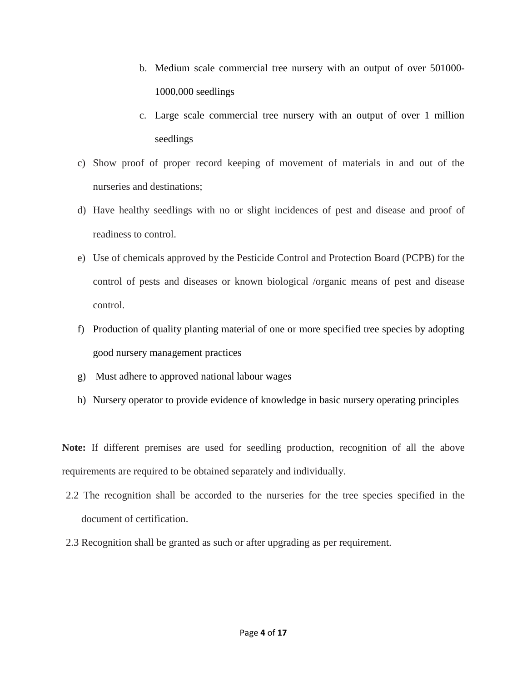- b. Medium scale commercial tree nursery with an output of over 501000- 1000,000 seedlings
- c. Large scale commercial tree nursery with an output of over 1 million seedlings
- c) Show proof of proper record keeping of movement of materials in and out of the nurseries and destinations;
- d) Have healthy seedlings with no or slight incidences of pest and disease and proof of readiness to control.
- e) Use of chemicals approved by the Pesticide Control and Protection Board (PCPB) for the control of pests and diseases or known biological /organic means of pest and disease control.
- f) Production of quality planting material of one or more specified tree species by adopting good nursery management practices
- g) Must adhere to approved national labour wages
- h) Nursery operator to provide evidence of knowledge in basic nursery operating principles

**Note:** If different premises are used for seedling production, recognition of all the above requirements are required to be obtained separately and individually.

- 2.2 The recognition shall be accorded to the nurseries for the tree species specified in the document of certification.
- 2.3 Recognition shall be granted as such or after upgrading as per requirement.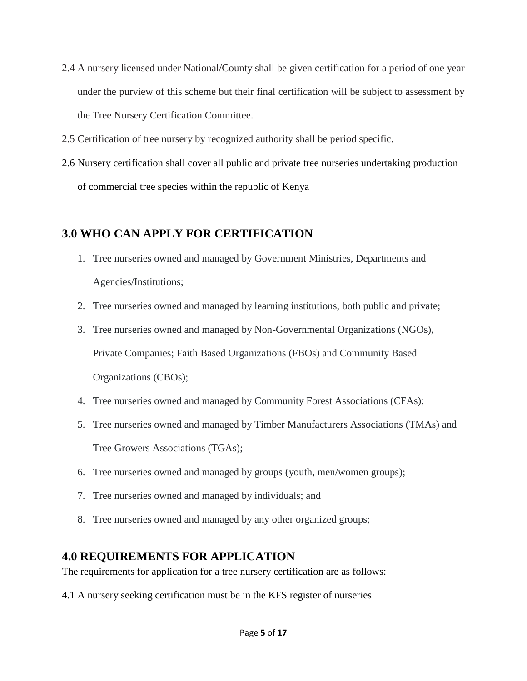- 2.4 A nursery licensed under National/County shall be given certification for a period of one year under the purview of this scheme but their final certification will be subject to assessment by the Tree Nursery Certification Committee.
- 2.5 Certification of tree nursery by recognized authority shall be period specific.
- 2.6 Nursery certification shall cover all public and private tree nurseries undertaking production of commercial tree species within the republic of Kenya

#### **3.0 WHO CAN APPLY FOR CERTIFICATION**

- 1. Tree nurseries owned and managed by Government Ministries, Departments and Agencies/Institutions;
- 2. Tree nurseries owned and managed by learning institutions, both public and private;
- 3. Tree nurseries owned and managed by Non-Governmental Organizations (NGOs), Private Companies; Faith Based Organizations (FBOs) and Community Based Organizations (CBOs);
- 4. Tree nurseries owned and managed by Community Forest Associations (CFAs);
- 5. Tree nurseries owned and managed by Timber Manufacturers Associations (TMAs) and Tree Growers Associations (TGAs);
- 6. Tree nurseries owned and managed by groups (youth, men/women groups);
- 7. Tree nurseries owned and managed by individuals; and
- 8. Tree nurseries owned and managed by any other organized groups;

#### **4.0 REQUIREMENTS FOR APPLICATION**

The requirements for application for a tree nursery certification are as follows:

4.1 A nursery seeking certification must be in the KFS register of nurseries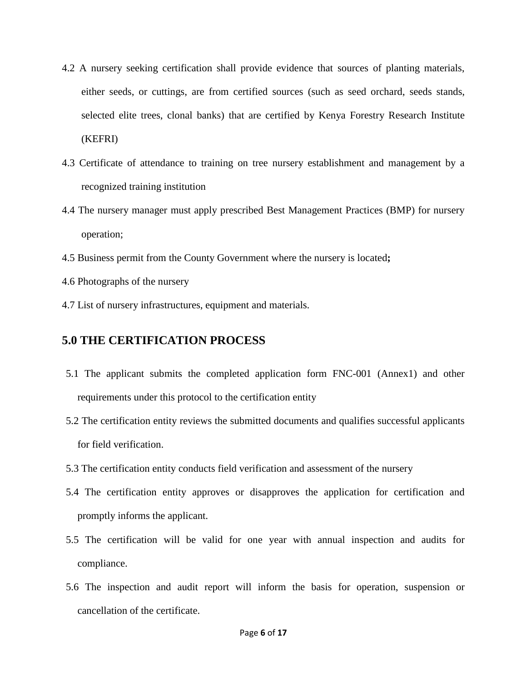- 4.2 A nursery seeking certification shall provide evidence that sources of planting materials, either seeds, or cuttings, are from certified sources (such as seed orchard, seeds stands, selected elite trees, clonal banks) that are certified by Kenya Forestry Research Institute (KEFRI)
- 4.3 Certificate of attendance to training on tree nursery establishment and management by a recognized training institution
- 4.4 The nursery manager must apply prescribed Best Management Practices (BMP) for nursery operation;
- 4.5 Business permit from the County Government where the nursery is located**;**
- 4.6 Photographs of the nursery
- 4.7 List of nursery infrastructures, equipment and materials.

#### **5.0 THE CERTIFICATION PROCESS**

- 5.1 The applicant submits the completed application form FNC-001 (Annex1) and other requirements under this protocol to the certification entity
- 5.2 The certification entity reviews the submitted documents and qualifies successful applicants for field verification.
- 5.3 The certification entity conducts field verification and assessment of the nursery
- 5.4 The certification entity approves or disapproves the application for certification and promptly informs the applicant.
- 5.5 The certification will be valid for one year with annual inspection and audits for compliance.
- 5.6 The inspection and audit report will inform the basis for operation, suspension or cancellation of the certificate.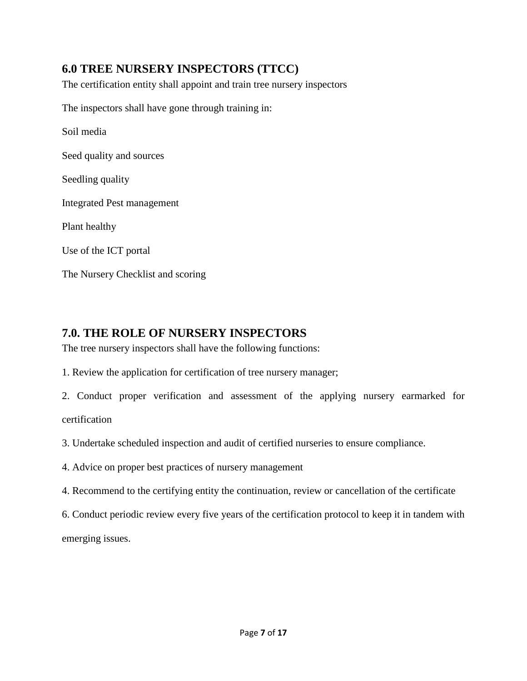## **6.0 TREE NURSERY INSPECTORS (TTCC)**

The certification entity shall appoint and train tree nursery inspectors

The inspectors shall have gone through training in:

Soil media

Seed quality and sources

Seedling quality

Integrated Pest management

Plant healthy

Use of the ICT portal

The Nursery Checklist and scoring

#### **7.0. THE ROLE OF NURSERY INSPECTORS**

The tree nursery inspectors shall have the following functions:

1. Review the application for certification of tree nursery manager;

2. Conduct proper verification and assessment of the applying nursery earmarked for certification

3. Undertake scheduled inspection and audit of certified nurseries to ensure compliance.

4. Advice on proper best practices of nursery management

4. Recommend to the certifying entity the continuation, review or cancellation of the certificate

6. Conduct periodic review every five years of the certification protocol to keep it in tandem with emerging issues.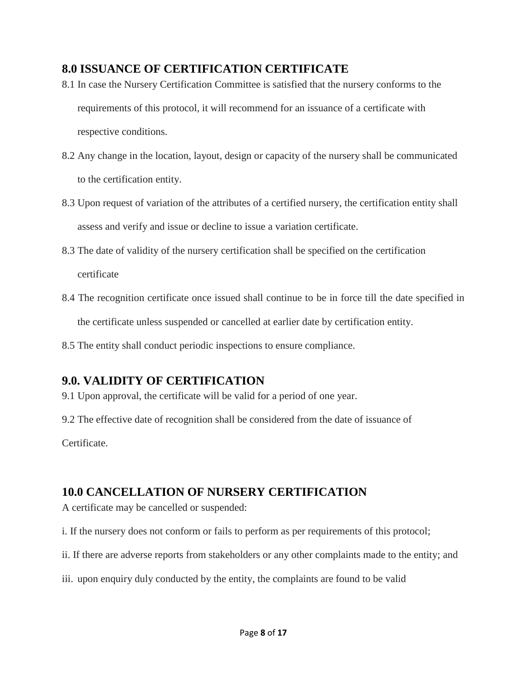#### **8.0 ISSUANCE OF CERTIFICATION CERTIFICATE**

- 8.1 In case the Nursery Certification Committee is satisfied that the nursery conforms to the requirements of this protocol, it will recommend for an issuance of a certificate with respective conditions.
- 8.2 Any change in the location, layout, design or capacity of the nursery shall be communicated to the certification entity.
- 8.3 Upon request of variation of the attributes of a certified nursery, the certification entity shall assess and verify and issue or decline to issue a variation certificate.
- 8.3 The date of validity of the nursery certification shall be specified on the certification certificate
- 8.4 The recognition certificate once issued shall continue to be in force till the date specified in the certificate unless suspended or cancelled at earlier date by certification entity.
- 8.5 The entity shall conduct periodic inspections to ensure compliance.

#### **9.0. VALIDITY OF CERTIFICATION**

9.1 Upon approval, the certificate will be valid for a period of one year.

9.2 The effective date of recognition shall be considered from the date of issuance of

Certificate.

#### **10.0 CANCELLATION OF NURSERY CERTIFICATION**

A certificate may be cancelled or suspended:

i. If the nursery does not conform or fails to perform as per requirements of this protocol;

- ii. If there are adverse reports from stakeholders or any other complaints made to the entity; and
- iii. upon enquiry duly conducted by the entity, the complaints are found to be valid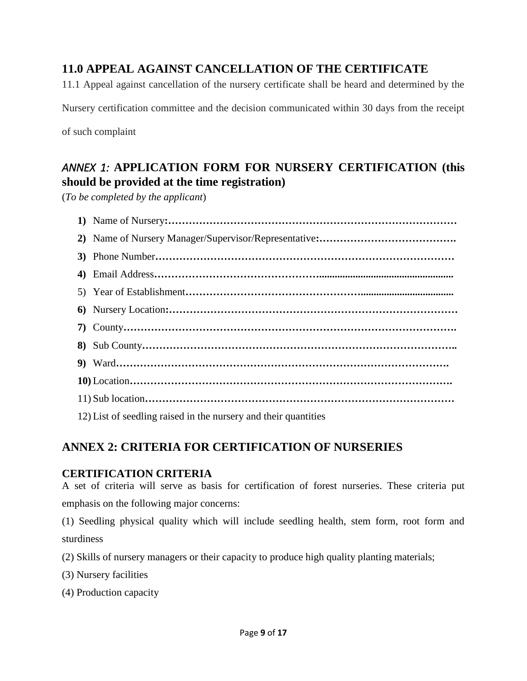### **11.0 APPEAL AGAINST CANCELLATION OF THE CERTIFICATE**

11.1 Appeal against cancellation of the nursery certificate shall be heard and determined by the

Nursery certification committee and the decision communicated within 30 days from the receipt

of such complaint

## *ANNEX 1:* **APPLICATION FORM FOR NURSERY CERTIFICATION (this should be provided at the time registration)**

(*To be completed by the applicant*)

| 12) List of seedling raised in the nursery and their quantities |
|-----------------------------------------------------------------|

#### **ANNEX 2: CRITERIA FOR CERTIFICATION OF NURSERIES**

#### **CERTIFICATION CRITERIA**

A set of criteria will serve as basis for certification of forest nurseries. These criteria put emphasis on the following major concerns:

(1) Seedling physical quality which will include seedling health, stem form, root form and sturdiness

(2) Skills of nursery managers or their capacity to produce high quality planting materials;

- (3) Nursery facilities
- (4) Production capacity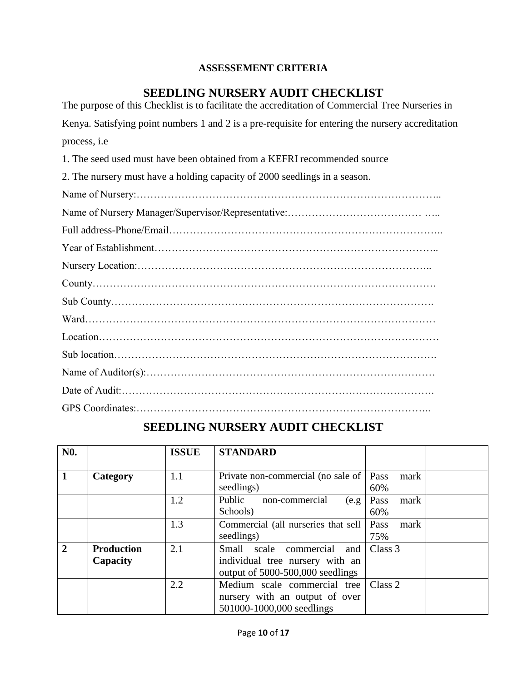#### **ASSESSEMENT CRITERIA**

#### **SEEDLING NURSERY AUDIT CHECKLIST**

| The purpose of this Checklist is to facilitate the accreditation of Commercial Tree Nurseries in  |
|---------------------------------------------------------------------------------------------------|
| Kenya. Satisfying point numbers 1 and 2 is a pre-requisite for entering the nursery accreditation |
| process, i.e                                                                                      |
| 1. The seed used must have been obtained from a KEFRI recommended source                          |
| 2. The nursery must have a holding capacity of 2000 seedlings in a season.                        |
|                                                                                                   |
|                                                                                                   |
|                                                                                                   |
|                                                                                                   |
|                                                                                                   |
|                                                                                                   |
|                                                                                                   |
|                                                                                                   |
|                                                                                                   |
|                                                                                                   |
|                                                                                                   |
|                                                                                                   |
|                                                                                                   |

# **SEEDLING NURSERY AUDIT CHECKLIST**

| N <sub>0</sub> . |                               | <b>ISSUE</b> | <b>STANDARD</b>                                                                                      |                     |
|------------------|-------------------------------|--------------|------------------------------------------------------------------------------------------------------|---------------------|
| $\mathbf{1}$     | Category                      | 1.1          | Private non-commercial (no sale of   Pass<br>seedlings)                                              | mark<br>60%         |
|                  |                               | 1.2          | Public<br>non-commercial<br>(e.g.<br>Schools)                                                        | Pass<br>mark<br>60% |
|                  |                               | 1.3          | Commercial (all nurseries that sell<br>seedlings)                                                    | Pass<br>mark<br>75% |
| $\overline{2}$   | <b>Production</b><br>Capacity | 2.1          | Small scale commercial<br>and<br>individual tree nursery with an<br>output of 5000-500,000 seedlings | Class 3             |
|                  |                               | 2.2          | Medium scale commercial tree<br>nursery with an output of over<br>501000-1000,000 seedlings          | Class 2             |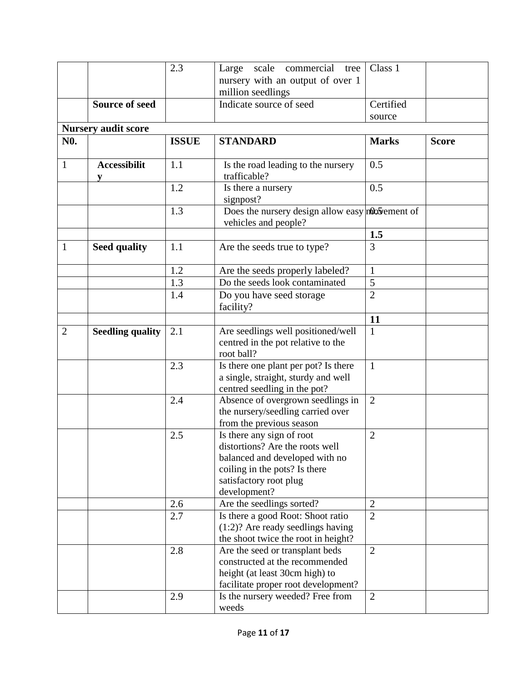|                  |                            | 2.3          | Large scale commercial<br>tree                    | Class 1        |              |
|------------------|----------------------------|--------------|---------------------------------------------------|----------------|--------------|
|                  |                            |              | nursery with an output of over 1                  |                |              |
|                  |                            |              | million seedlings                                 |                |              |
|                  | <b>Source of seed</b>      |              | Indicate source of seed                           | Certified      |              |
|                  |                            |              |                                                   | source         |              |
|                  | <b>Nursery audit score</b> |              |                                                   |                |              |
| N <sub>0</sub> . |                            | <b>ISSUE</b> | <b>STANDARD</b>                                   | <b>Marks</b>   | <b>Score</b> |
|                  |                            |              |                                                   |                |              |
| $\mathbf{1}$     | <b>Accessibilit</b>        | 1.1          | Is the road leading to the nursery                | 0.5            |              |
|                  | V                          |              | trafficable?                                      |                |              |
|                  |                            | 1.2          | Is there a nursery                                | 0.5            |              |
|                  |                            |              | signpost?                                         |                |              |
|                  |                            | 1.3          | Does the nursery design allow easy not be ment of |                |              |
|                  |                            |              | vehicles and people?                              |                |              |
|                  |                            |              |                                                   | 1.5            |              |
| 1                | <b>Seed quality</b>        | 1.1          | Are the seeds true to type?                       | $\overline{3}$ |              |
|                  |                            |              |                                                   |                |              |
|                  |                            | 1.2          | Are the seeds properly labeled?                   | $\mathbf{1}$   |              |
|                  |                            | 1.3          | Do the seeds look contaminated                    | 5              |              |
|                  |                            | 1.4          | Do you have seed storage                          | $\overline{2}$ |              |
|                  |                            |              | facility?                                         |                |              |
|                  |                            |              |                                                   | 11             |              |
| $\overline{2}$   | <b>Seedling quality</b>    | 2.1          | Are seedlings well positioned/well                | $\mathbf{1}$   |              |
|                  |                            |              | centred in the pot relative to the                |                |              |
|                  |                            |              | root ball?                                        |                |              |
|                  |                            | 2.3          | Is there one plant per pot? Is there              | $\mathbf{1}$   |              |
|                  |                            |              | a single, straight, sturdy and well               |                |              |
|                  |                            |              | centred seedling in the pot?                      |                |              |
|                  |                            | 2.4          | Absence of overgrown seedlings in                 | $\overline{2}$ |              |
|                  |                            |              | the nursery/seedling carried over                 |                |              |
|                  |                            |              | from the previous season                          |                |              |
|                  |                            | 2.5          | Is there any sign of root                         | $\overline{2}$ |              |
|                  |                            |              | distortions? Are the roots well                   |                |              |
|                  |                            |              | balanced and developed with no                    |                |              |
|                  |                            |              | coiling in the pots? Is there                     |                |              |
|                  |                            |              | satisfactory root plug<br>development?            |                |              |
|                  |                            | 2.6          | Are the seedlings sorted?                         | $\overline{2}$ |              |
|                  |                            | 2.7          | Is there a good Root: Shoot ratio                 | $\overline{2}$ |              |
|                  |                            |              | $(1:2)?$ Are ready seedlings having               |                |              |
|                  |                            |              | the shoot twice the root in height?               |                |              |
|                  |                            | 2.8          | Are the seed or transplant beds                   | $\overline{2}$ |              |
|                  |                            |              | constructed at the recommended                    |                |              |
|                  |                            |              | height (at least 30cm high) to                    |                |              |
|                  |                            |              | facilitate proper root development?               |                |              |
|                  |                            | 2.9          | Is the nursery weeded? Free from                  | $\overline{2}$ |              |
|                  |                            |              | weeds                                             |                |              |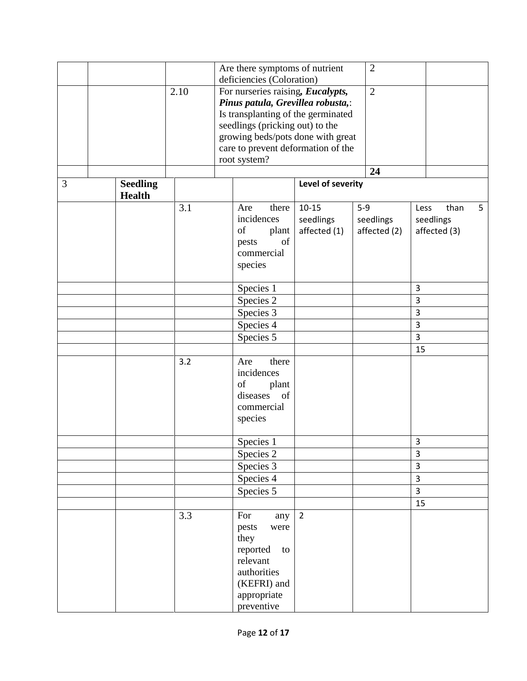|   |                 |      |                                   | Are there symptoms of nutrient     |                   |       | $\overline{2}$ |                |              |   |
|---|-----------------|------|-----------------------------------|------------------------------------|-------------------|-------|----------------|----------------|--------------|---|
|   |                 |      |                                   | deficiencies (Coloration)          |                   |       |                |                |              |   |
|   |                 | 2.10 |                                   | For nurseries raising, Eucalypts,  |                   |       | $\overline{2}$ |                |              |   |
|   |                 |      |                                   | Pinus patula, Grevillea robusta,:  |                   |       |                |                |              |   |
|   |                 |      |                                   | Is transplanting of the germinated |                   |       |                |                |              |   |
|   |                 |      |                                   | seedlings (pricking out) to the    |                   |       |                |                |              |   |
|   |                 |      | growing beds/pots done with great |                                    |                   |       |                |                |              |   |
|   |                 |      |                                   | care to prevent deformation of the |                   |       |                |                |              |   |
|   |                 |      |                                   | root system?                       |                   |       |                |                |              |   |
|   |                 |      |                                   |                                    |                   |       | 24             |                |              |   |
| 3 | <b>Seedling</b> |      |                                   |                                    | Level of severity |       |                |                |              |   |
|   | <b>Health</b>   |      |                                   |                                    |                   |       |                |                |              |   |
|   |                 | 3.1  |                                   | there<br>Are                       | $10 - 15$         | $5-9$ |                | Less           | than         | 5 |
|   |                 |      |                                   | incidences                         | seedlings         |       | seedlings      |                | seedlings    |   |
|   |                 |      |                                   | of<br>plant                        | affected (1)      |       | affected (2)   |                | affected (3) |   |
|   |                 |      |                                   | of<br>pests                        |                   |       |                |                |              |   |
|   |                 |      |                                   | commercial                         |                   |       |                |                |              |   |
|   |                 |      |                                   | species                            |                   |       |                |                |              |   |
|   |                 |      |                                   |                                    |                   |       |                |                |              |   |
|   |                 |      |                                   | Species 1                          |                   |       |                | $\overline{3}$ |              |   |
|   |                 |      |                                   | Species 2                          |                   |       |                | 3              |              |   |
|   |                 |      |                                   | Species 3                          |                   |       |                | 3              |              |   |
|   |                 |      |                                   | Species 4                          |                   |       |                | $\overline{3}$ |              |   |
|   |                 |      |                                   | Species 5                          |                   |       |                | 3              |              |   |
|   |                 |      |                                   |                                    |                   |       |                | 15             |              |   |
|   |                 | 3.2  |                                   | there<br>Are                       |                   |       |                |                |              |   |
|   |                 |      |                                   | incidences                         |                   |       |                |                |              |   |
|   |                 |      |                                   | of<br>plant                        |                   |       |                |                |              |   |
|   |                 |      |                                   | diseases<br>of                     |                   |       |                |                |              |   |
|   |                 |      |                                   | commercial                         |                   |       |                |                |              |   |
|   |                 |      |                                   | species                            |                   |       |                |                |              |   |
|   |                 |      |                                   |                                    |                   |       |                |                |              |   |
|   |                 |      |                                   | Species 1                          |                   |       |                | 3              |              |   |
|   |                 |      |                                   | Species 2                          |                   |       |                | 3              |              |   |
|   |                 |      |                                   | Species 3                          |                   |       |                | $\overline{3}$ |              |   |
|   |                 |      |                                   | Species 4                          |                   |       |                | $\overline{3}$ |              |   |
|   |                 |      |                                   | Species 5                          |                   |       |                | $\overline{3}$ |              |   |
|   |                 |      |                                   |                                    |                   |       |                | 15             |              |   |
|   |                 | 3.3  |                                   | For<br>any                         | $\overline{2}$    |       |                |                |              |   |
|   |                 |      |                                   | pests<br>were                      |                   |       |                |                |              |   |
|   |                 |      |                                   | they                               |                   |       |                |                |              |   |
|   |                 |      |                                   | reported<br>to                     |                   |       |                |                |              |   |
|   |                 |      |                                   | relevant                           |                   |       |                |                |              |   |
|   |                 |      |                                   | authorities                        |                   |       |                |                |              |   |
|   |                 |      |                                   | (KEFRI) and                        |                   |       |                |                |              |   |
|   |                 |      |                                   | appropriate                        |                   |       |                |                |              |   |
|   |                 |      |                                   | preventive                         |                   |       |                |                |              |   |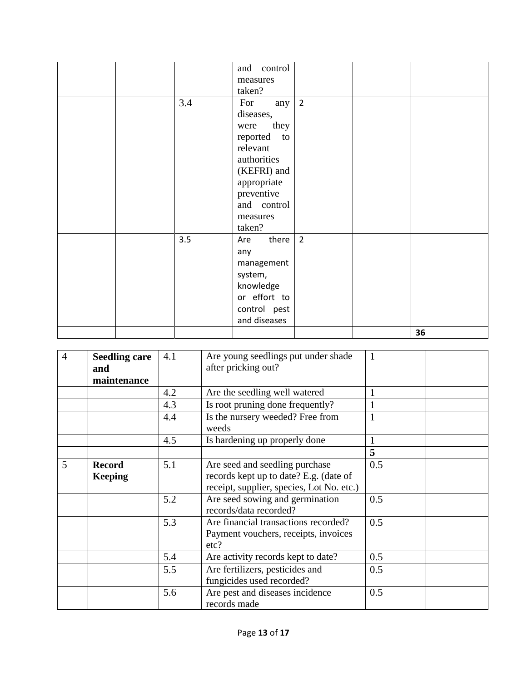|  |     | and control    |                |    |
|--|-----|----------------|----------------|----|
|  |     | measures       |                |    |
|  |     | taken?         |                |    |
|  | 3.4 | For<br>any     | $\overline{2}$ |    |
|  |     | diseases,      |                |    |
|  |     | they<br>were   |                |    |
|  |     | reported<br>to |                |    |
|  |     | relevant       |                |    |
|  |     | authorities    |                |    |
|  |     | (KEFRI) and    |                |    |
|  |     | appropriate    |                |    |
|  |     | preventive     |                |    |
|  |     | and control    |                |    |
|  |     | measures       |                |    |
|  |     | taken?         |                |    |
|  | 3.5 | there<br>Are   | $\overline{2}$ |    |
|  |     | any            |                |    |
|  |     | management     |                |    |
|  |     | system,        |                |    |
|  |     | knowledge      |                |    |
|  |     | or effort to   |                |    |
|  |     | control pest   |                |    |
|  |     | and diseases   |                |    |
|  |     |                |                | 36 |

| $\overline{4}$ | <b>Seedling care</b><br>and<br>maintenance | 4.1 | Are young seedlings put under shade<br>after pricking out?                                                            |     |
|----------------|--------------------------------------------|-----|-----------------------------------------------------------------------------------------------------------------------|-----|
|                |                                            | 4.2 | Are the seedling well watered                                                                                         |     |
|                |                                            | 4.3 | Is root pruning done frequently?                                                                                      |     |
|                |                                            | 4.4 | Is the nursery weeded? Free from<br>weeds                                                                             | 1   |
|                |                                            | 4.5 | Is hardening up properly done                                                                                         |     |
|                |                                            |     |                                                                                                                       | 5   |
| 5              | <b>Record</b><br><b>Keeping</b>            | 5.1 | Are seed and seedling purchase<br>records kept up to date? E.g. (date of<br>receipt, supplier, species, Lot No. etc.) | 0.5 |
|                |                                            | 5.2 | Are seed sowing and germination<br>records/data recorded?                                                             | 0.5 |
|                |                                            | 5.3 | Are financial transactions recorded?<br>Payment vouchers, receipts, invoices<br>etc?                                  | 0.5 |
|                |                                            | 5.4 | Are activity records kept to date?                                                                                    | 0.5 |
|                |                                            | 5.5 | Are fertilizers, pesticides and<br>fungicides used recorded?                                                          | 0.5 |
|                |                                            | 5.6 | Are pest and diseases incidence<br>records made                                                                       | 0.5 |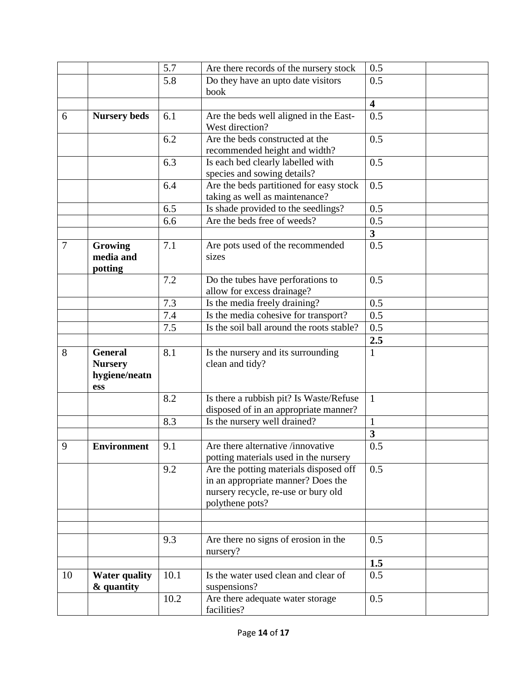|                |                                                          | 5.7  | Are there records of the nursery stock                                                                                                 | 0.5                     |
|----------------|----------------------------------------------------------|------|----------------------------------------------------------------------------------------------------------------------------------------|-------------------------|
|                |                                                          | 5.8  | Do they have an upto date visitors                                                                                                     | 0.5                     |
|                |                                                          |      | book                                                                                                                                   |                         |
|                |                                                          |      |                                                                                                                                        | $\overline{\mathbf{4}}$ |
| 6              | <b>Nursery beds</b>                                      | 6.1  | Are the beds well aligned in the East-<br>West direction?                                                                              | 0.5                     |
|                |                                                          | 6.2  | Are the beds constructed at the<br>recommended height and width?                                                                       | 0.5                     |
|                |                                                          | 6.3  | Is each bed clearly labelled with<br>species and sowing details?                                                                       | 0.5                     |
|                |                                                          | 6.4  | Are the beds partitioned for easy stock<br>taking as well as maintenance?                                                              | 0.5                     |
|                |                                                          | 6.5  | Is shade provided to the seedlings?                                                                                                    | 0.5                     |
|                |                                                          | 6.6  | Are the beds free of weeds?                                                                                                            | 0.5                     |
|                |                                                          |      |                                                                                                                                        | $\mathbf{3}$            |
| $\overline{7}$ | Growing<br>media and<br>potting                          | 7.1  | Are pots used of the recommended<br>sizes                                                                                              | 0.5                     |
|                |                                                          | 7.2  | Do the tubes have perforations to<br>allow for excess drainage?                                                                        | 0.5                     |
|                |                                                          | 7.3  | Is the media freely draining?                                                                                                          | 0.5                     |
|                |                                                          | 7.4  | Is the media cohesive for transport?                                                                                                   | 0.5                     |
|                |                                                          | 7.5  | Is the soil ball around the roots stable?                                                                                              | 0.5                     |
|                |                                                          |      |                                                                                                                                        | 2.5                     |
| 8              | <b>General</b><br><b>Nursery</b><br>hygiene/neatn<br>ess | 8.1  | Is the nursery and its surrounding<br>clean and tidy?                                                                                  | $\mathbf{1}$            |
|                |                                                          | 8.2  | Is there a rubbish pit? Is Waste/Refuse<br>disposed of in an appropriate manner?                                                       | $\mathbf{1}$            |
|                |                                                          | 8.3  | Is the nursery well drained?                                                                                                           | $\mathbf{1}$            |
|                |                                                          |      |                                                                                                                                        | $\mathbf{3}$            |
| 9              | <b>Environment</b>                                       | 9.1  | Are there alternative /innovative<br>potting materials used in the nursery                                                             | 0.5                     |
|                |                                                          | 9.2  | Are the potting materials disposed off<br>in an appropriate manner? Does the<br>nursery recycle, re-use or bury old<br>polythene pots? | 0.5                     |
|                |                                                          |      |                                                                                                                                        |                         |
|                |                                                          | 9.3  | Are there no signs of erosion in the<br>nursery?                                                                                       | 0.5                     |
|                |                                                          |      |                                                                                                                                        | 1.5                     |
| 10             | <b>Water quality</b><br>& quantity                       | 10.1 | Is the water used clean and clear of<br>suspensions?                                                                                   | 0.5                     |
|                |                                                          | 10.2 | Are there adequate water storage<br>facilities?                                                                                        | 0.5                     |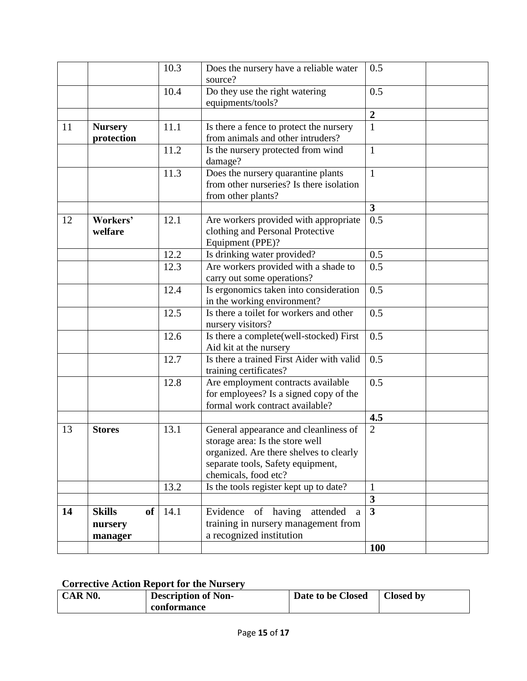|    |                              | 10.3 | Does the nursery have a reliable water<br>source?                                                                                                                                | 0.5              |
|----|------------------------------|------|----------------------------------------------------------------------------------------------------------------------------------------------------------------------------------|------------------|
|    |                              | 10.4 | Do they use the right watering<br>equipments/tools?                                                                                                                              | 0.5              |
|    |                              |      |                                                                                                                                                                                  | $\boldsymbol{2}$ |
| 11 | <b>Nursery</b><br>protection | 11.1 | Is there a fence to protect the nursery<br>from animals and other intruders?                                                                                                     | $\mathbf{1}$     |
|    |                              | 11.2 | Is the nursery protected from wind<br>damage?                                                                                                                                    | $\mathbf{1}$     |
|    |                              | 11.3 | Does the nursery quarantine plants<br>from other nurseries? Is there isolation<br>from other plants?                                                                             | $\mathbf{1}$     |
|    |                              |      |                                                                                                                                                                                  | 3                |
| 12 | Workers'<br>welfare          | 12.1 | Are workers provided with appropriate<br>clothing and Personal Protective<br>Equipment (PPE)?                                                                                    | 0.5              |
|    |                              | 12.2 | Is drinking water provided?                                                                                                                                                      | 0.5              |
|    |                              | 12.3 | Are workers provided with a shade to<br>carry out some operations?                                                                                                               | 0.5              |
|    |                              | 12.4 | Is ergonomics taken into consideration<br>in the working environment?                                                                                                            | 0.5              |
|    |                              | 12.5 | Is there a toilet for workers and other<br>nursery visitors?                                                                                                                     | 0.5              |
|    |                              | 12.6 | Is there a complete(well-stocked) First<br>Aid kit at the nursery                                                                                                                | 0.5              |
|    |                              | 12.7 | Is there a trained First Aider with valid<br>training certificates?                                                                                                              | 0.5              |
|    |                              | 12.8 | Are employment contracts available<br>for employees? Is a signed copy of the<br>formal work contract available?                                                                  | 0.5              |
|    |                              |      |                                                                                                                                                                                  | 4.5              |
| 13 | <b>Stores</b>                | 13.1 | General appearance and cleanliness of<br>storage area: Is the store well<br>organized. Are there shelves to clearly<br>separate tools, Safety equipment,<br>chemicals, food etc? | $\overline{2}$   |
|    |                              | 13.2 | Is the tools register kept up to date?                                                                                                                                           | $\mathbf{1}$     |
|    |                              |      |                                                                                                                                                                                  | $\mathbf{3}$     |
| 14 | <b>Skills</b><br>of          | 14.1 | Evidence<br>of having<br>attended<br>a                                                                                                                                           | $\overline{3}$   |
|    | nursery                      |      | training in nursery management from                                                                                                                                              |                  |
|    | manager                      |      | a recognized institution                                                                                                                                                         |                  |
|    |                              |      |                                                                                                                                                                                  | <b>100</b>       |

### **Corrective Action Report for the Nursery**

| CAR NO. | <b>Description of Non-</b> | Date to be Closed | <b>Closed by</b> |
|---------|----------------------------|-------------------|------------------|
|         | conformance                |                   |                  |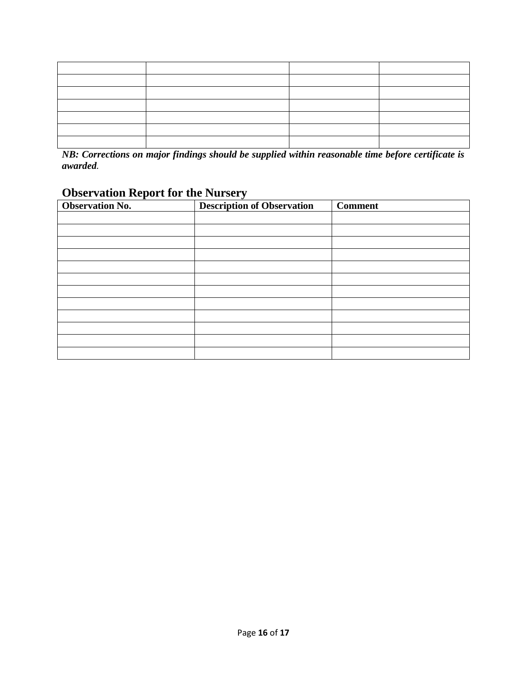*NB: Corrections on major findings should be supplied within reasonable time before certificate is awarded.*

# **Observation Report for the Nursery**

| <b>Observation No.</b> | $\overline{\mathbf{v}}$<br><b>Description of Observation</b> | <b>Comment</b> |
|------------------------|--------------------------------------------------------------|----------------|
|                        |                                                              |                |
|                        |                                                              |                |
|                        |                                                              |                |
|                        |                                                              |                |
|                        |                                                              |                |
|                        |                                                              |                |
|                        |                                                              |                |
|                        |                                                              |                |
|                        |                                                              |                |
|                        |                                                              |                |
|                        |                                                              |                |
|                        |                                                              |                |